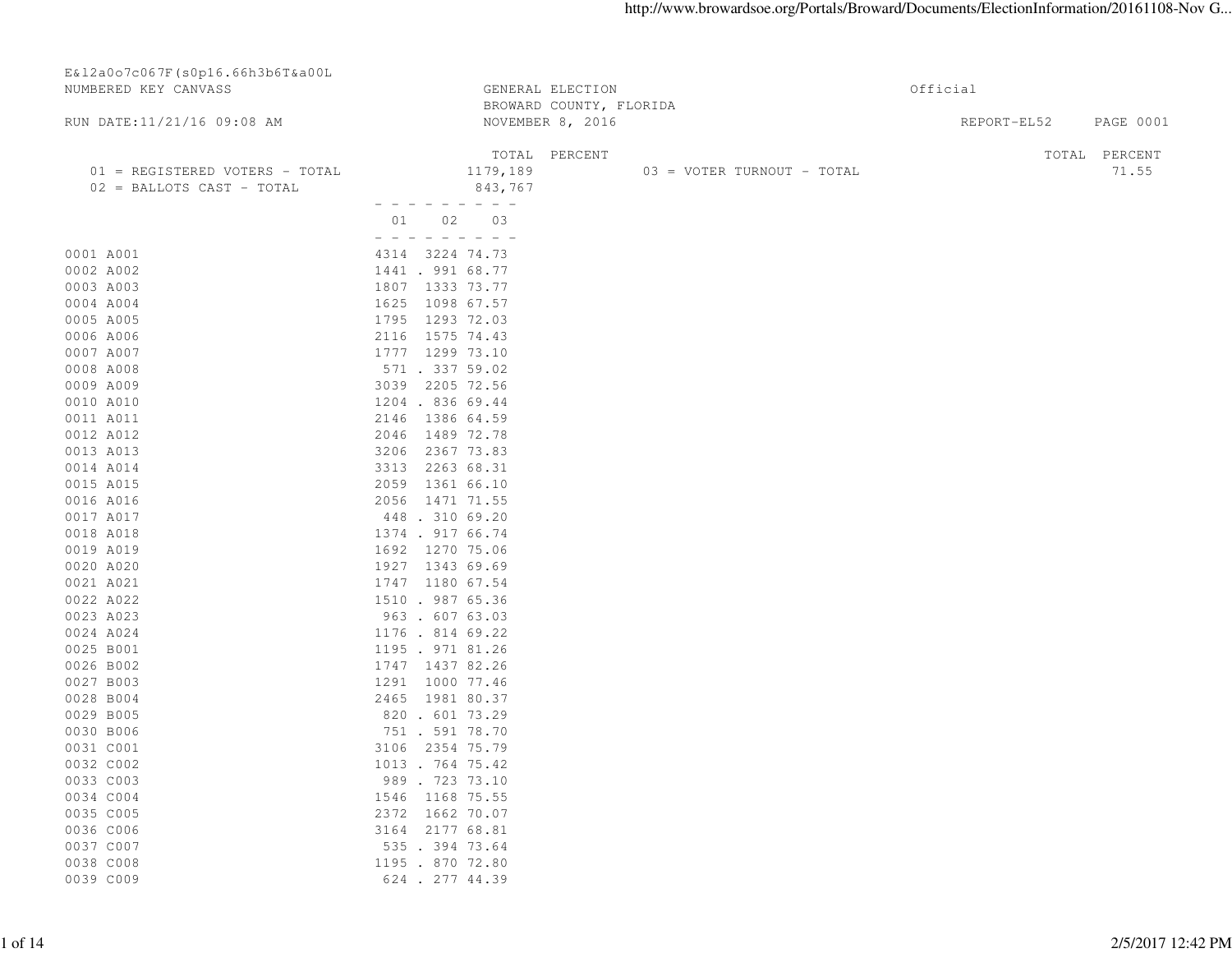| E&12a0o7c067F(s0p16.66h3b6T&a00L |                    |                         |                            |          |             |                  |
|----------------------------------|--------------------|-------------------------|----------------------------|----------|-------------|------------------|
| NUMBERED KEY CANVASS             |                    | GENERAL ELECTION        |                            | Official |             |                  |
|                                  |                    | BROWARD COUNTY, FLORIDA |                            |          |             |                  |
| RUN DATE:11/21/16 09:08 AM       |                    | NOVEMBER 8, 2016        |                            |          | REPORT-EL52 | <b>PAGE 0001</b> |
|                                  |                    | TOTAL PERCENT           |                            |          |             | TOTAL PERCENT    |
| 01 = REGISTERED VOTERS - TOTAL   | 1179,189           |                         | 03 = VOTER TURNOUT - TOTAL |          |             | 71.55            |
| 02 = BALLOTS CAST - TOTAL        | 843,767            |                         |                            |          |             |                  |
|                                  | - - - - - - - - -  |                         |                            |          |             |                  |
|                                  | 01 02 03           |                         |                            |          |             |                  |
|                                  |                    |                         |                            |          |             |                  |
| 0001 A001                        | 4314 3224 74.73    |                         |                            |          |             |                  |
| 0002 A002                        | 1441 . 991 68.77   |                         |                            |          |             |                  |
| 0003 A003                        | 1807 1333 73.77    |                         |                            |          |             |                  |
| 0004 A004                        | 1625 1098 67.57    |                         |                            |          |             |                  |
| 0005 A005                        | 1795 1293 72.03    |                         |                            |          |             |                  |
| 0006 A006                        | 2116 1575 74.43    |                         |                            |          |             |                  |
| 0007 A007                        | 1777 1299 73.10    |                         |                            |          |             |                  |
| 0008 A008                        | 571 . 337 59.02    |                         |                            |          |             |                  |
| 0009 A009                        | 3039 2205 72.56    |                         |                            |          |             |                  |
| 0010 A010                        | 1204 . 836 69.44   |                         |                            |          |             |                  |
| 0011 A011                        | 2146 1386 64.59    |                         |                            |          |             |                  |
| 0012 A012                        | 1489 72.78<br>2046 |                         |                            |          |             |                  |
| 0013 A013                        | 3206<br>2367 73.83 |                         |                            |          |             |                  |
| 0014 A014                        | 3313 2263 68.31    |                         |                            |          |             |                  |
| 0015 A015                        | 2059 1361 66.10    |                         |                            |          |             |                  |
| 0016 A016                        | 2056 1471 71.55    |                         |                            |          |             |                  |
| 0017 A017                        | 448.310 69.20      |                         |                            |          |             |                  |
| 0018 A018                        | 1374 . 917 66.74   |                         |                            |          |             |                  |
| 0019 A019                        | 1692 1270 75.06    |                         |                            |          |             |                  |
| 0020 A020                        | 1927 1343 69.69    |                         |                            |          |             |                  |
| 0021 A021                        | 1747 1180 67.54    |                         |                            |          |             |                  |
| 0022 A022                        | 1510 . 987 65.36   |                         |                            |          |             |                  |
| 0023 A023                        | 963 . 607 63.03    |                         |                            |          |             |                  |
| 0024 A024                        | 1176 . 814 69.22   |                         |                            |          |             |                  |
| 0025 B001                        | 1195 . 971 81.26   |                         |                            |          |             |                  |
| 0026 B002                        | 1747 1437 82.26    |                         |                            |          |             |                  |
| 0027 B003                        | 1291 1000 77.46    |                         |                            |          |             |                  |
| 0028 B004                        | 2465 1981 80.37    |                         |                            |          |             |                  |
| 0029 B005                        | 820 . 601 73.29    |                         |                            |          |             |                  |
| 0030 B006                        | 751 . 591 78.70    |                         |                            |          |             |                  |
| 0031 C001                        | 3106 2354 75.79    |                         |                            |          |             |                  |
| 0032 C002                        | 1013 . 764 75.42   |                         |                            |          |             |                  |
| 0033 C003                        | 989 . 723 73.10    |                         |                            |          |             |                  |
| 0034 C004                        | 1546 1168 75.55    |                         |                            |          |             |                  |
| 0035 C005                        | 2372 1662 70.07    |                         |                            |          |             |                  |
| 0036 C006                        | 3164 2177 68.81    |                         |                            |          |             |                  |
| 0037 C007                        | 535 . 394 73.64    |                         |                            |          |             |                  |
| 0038 C008                        | 1195 . 870 72.80   |                         |                            |          |             |                  |
| 0039 C009                        | 624 . 277 44.39    |                         |                            |          |             |                  |
|                                  |                    |                         |                            |          |             |                  |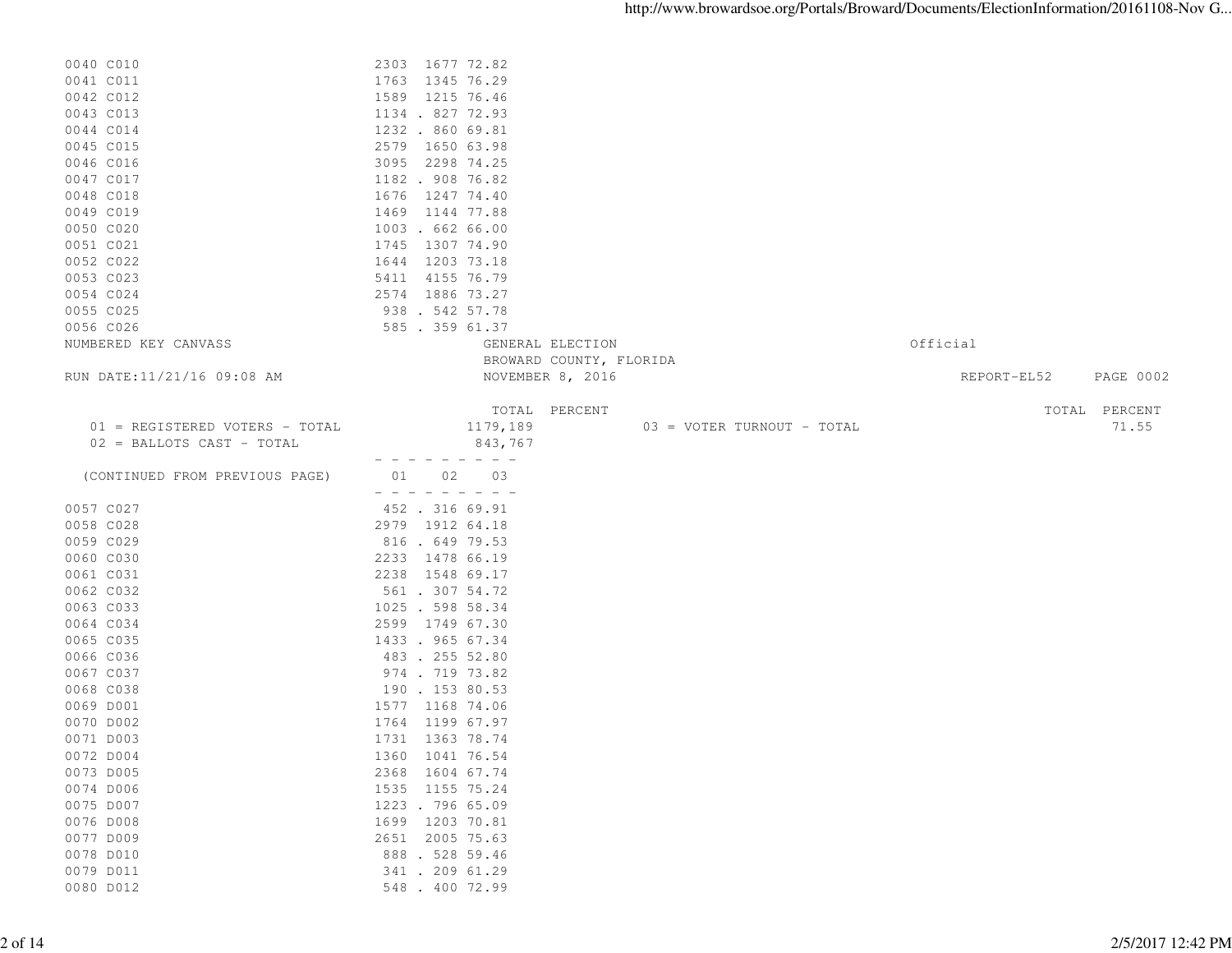| 0040 C010                      | 2303 1677 72.82                        |                          |
|--------------------------------|----------------------------------------|--------------------------|
| 0041 C011                      | 1763 1345 76.29                        |                          |
| 0042 C012                      | 1589 1215 76.46                        |                          |
| 0043 C013                      | 1134 . 827 72.93                       |                          |
| 0044 C014                      | 1232 . 860 69.81                       |                          |
| 0045 C015                      | 2579 1650 63.98                        |                          |
| 0046 C016                      | 3095 2298 74.25                        |                          |
| 0047 C017                      | 1182 . 908 76.82                       |                          |
| 0048 C018                      | 1676<br>1247 74.40                     |                          |
| 0049 C019                      | 1469 1144 77.88                        |                          |
| 0050 C020                      | 1003 . 662 66.00                       |                          |
|                                | 1745 1307 74.90                        |                          |
| 0051 C021                      |                                        |                          |
| 0052 C022                      | 1644 1203 73.18                        |                          |
| 0053 C023                      | 5411<br>4155 76.79                     |                          |
| 0054 C024                      | 2574 1886 73.27                        |                          |
| 0055 C025                      | 938. 542 57.78                         |                          |
| 0056 C026                      | 585 . 359 61.37                        |                          |
| NUMBERED KEY CANVASS           | GENERAL ELECTION                       | Official                 |
|                                | BROWARD COUNTY, FLORIDA                |                          |
| RUN DATE:11/21/16 09:08 AM     | NOVEMBER 8, 2016                       | REPORT-EL52<br>PAGE 0002 |
|                                |                                        |                          |
|                                | TOTAL PERCENT                          | TOTAL PERCENT            |
| 01 = REGISTERED VOTERS - TOTAL | 1179,189<br>03 = VOTER TURNOUT - TOTAL | 71.55                    |
| 02 = BALLOTS CAST - TOTAL      | 843,767                                |                          |
|                                |                                        |                          |
| (CONTINUED FROM PREVIOUS PAGE) | 02<br>03<br>01                         |                          |
|                                |                                        |                          |
| 0057 C027                      | 452 . 316 69.91                        |                          |
| 0058 C028                      | 2979 1912 64.18                        |                          |
| 0059 C029                      | 816 . 649 79.53                        |                          |
| 0060 C030                      | 2233 1478 66.19                        |                          |
| 0061 C031                      | 2238 1548 69.17                        |                          |
| 0062 C032                      | 561 . 307 54.72                        |                          |
| 0063 C033                      | 1025 . 598 58.34                       |                          |
| 0064 C034                      | 2599 1749 67.30                        |                          |
| 0065 C035                      | 1433 . 965 67.34                       |                          |
| 0066 C036                      | 483 . 255 52.80                        |                          |
| 0067 C037                      | 974 . 719 73.82                        |                          |
| 0068 C038                      | 190 . 153 80.53                        |                          |
| 0069 D001                      | 1577 1168 74.06                        |                          |
| 0070 D002                      | 1764 1199 67.97                        |                          |
| 0071 D003                      | 1731 1363 78.74                        |                          |
| 0072 D004                      | 1360 1041 76.54                        |                          |
| 0073 D005                      | 2368 1604 67.74                        |                          |
| 0074 D006                      | 1535 1155 75.24                        |                          |
| 0075 D007                      | 1223 . 796 65.09                       |                          |
| 0076 D008                      | 1699 1203 70.81                        |                          |
| 0077 D009                      | 2651 2005 75.63                        |                          |
| 0078 D010                      | 888 . 528 59.46                        |                          |
| 0079 D011                      | 341 . 209 61.29                        |                          |
| 0080 D012                      | 548 . 400 72.99                        |                          |
|                                |                                        |                          |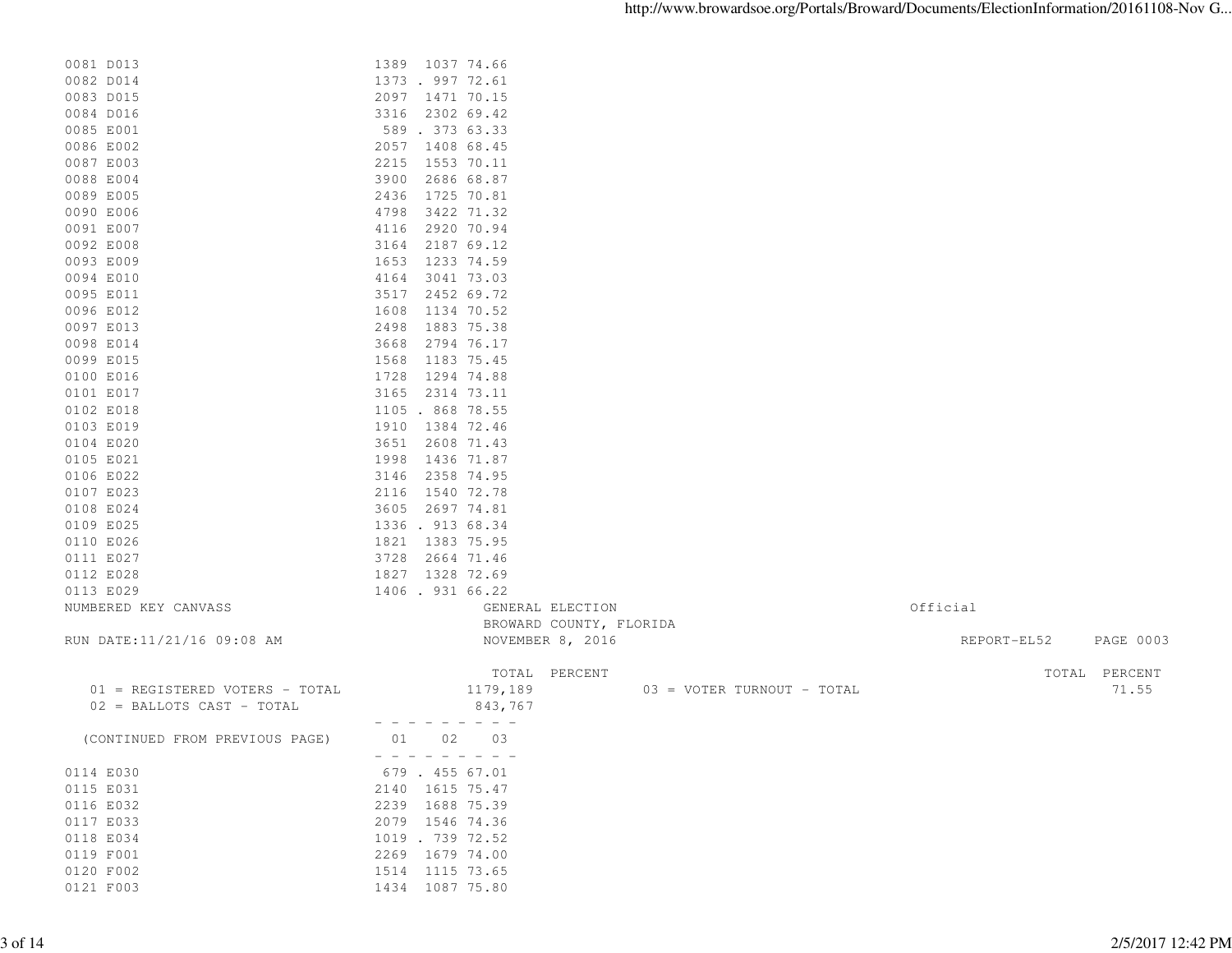| 0081 D013                      | 1389 1037 74.66                        |                                 |
|--------------------------------|----------------------------------------|---------------------------------|
| 0082 D014                      | 1373 . 997 72.61                       |                                 |
| 0083 D015                      | 2097 1471 70.15                        |                                 |
| 0084 D016                      | 3316 2302 69.42                        |                                 |
| 0085 E001                      | 589 . 373 63.33                        |                                 |
| 0086 E002                      | 2057 1408 68.45                        |                                 |
| 0087 E003                      | 2215 1553 70.11                        |                                 |
| 0088 E004                      | 3900<br>2686 68.87                     |                                 |
| 0089 E005                      | 2436<br>1725 70.81                     |                                 |
| 0090 E006                      | 3422 71.32<br>4798                     |                                 |
| 0091 E007                      | 2920 70.94<br>4116                     |                                 |
| 0092 E008                      | 3164<br>2187 69.12                     |                                 |
| 0093 E009                      | 1653<br>1233 74.59                     |                                 |
| 0094 E010                      | 4164 3041 73.03                        |                                 |
| 0095 E011                      | 2452 69.72<br>3517                     |                                 |
| 0096 E012                      | 1608<br>1134 70.52                     |                                 |
| 0097 E013                      | 2498 1883 75.38                        |                                 |
| 0098 E014                      | 2794 76.17<br>3668                     |                                 |
| 0099 E015                      | 1568<br>1183 75.45                     |                                 |
| 0100 E016                      | 1728<br>1294 74.88                     |                                 |
| 0101 E017                      | 3165 2314 73.11                        |                                 |
| 0102 E018                      | 1105 . 868 78.55                       |                                 |
| 0103 E019                      | 1910 1384 72.46                        |                                 |
| 0104 E020                      | 3651<br>2608 71.43                     |                                 |
| 0105 E021                      | 1998 1436 71.87                        |                                 |
| 0106 E022                      | 3146<br>2358 74.95                     |                                 |
| 0107 E023                      | 2116 1540 72.78                        |                                 |
| 0108 E024                      | 3605 2697 74.81                        |                                 |
| 0109 E025                      | 1336.91368.34                          |                                 |
| 0110 E026                      | 1821 1383 75.95                        |                                 |
| 0111 E027                      | 3728 2664 71.46                        |                                 |
| 0112 E028                      | 1827 1328 72.69                        |                                 |
| 0113 E029                      | 1406.931 66.22                         |                                 |
| NUMBERED KEY CANVASS           | GENERAL ELECTION                       | Official                        |
|                                | BROWARD COUNTY, FLORIDA                |                                 |
| RUN DATE:11/21/16 09:08 AM     | NOVEMBER 8, 2016                       | REPORT-EL52<br><b>PAGE 0003</b> |
|                                |                                        |                                 |
|                                | TOTAL PERCENT                          | TOTAL PERCENT                   |
| 01 = REGISTERED VOTERS - TOTAL | 1179,189<br>03 = VOTER TURNOUT - TOTAL | 71.55                           |
| 02 = BALLOTS CAST - TOTAL      | 843,767                                |                                 |
|                                | $- - - -$                              |                                 |
| (CONTINUED FROM PREVIOUS PAGE) | 01 02<br>03                            |                                 |
|                                | - - - - - - - - - -                    |                                 |
| 0114 E030                      | 679 . 455 67.01                        |                                 |
| 0115 E031                      | 2140 1615 75.47                        |                                 |
| 0116 E032                      | 2239 1688 75.39                        |                                 |
| 0117 E033                      | 2079 1546 74.36                        |                                 |
| 0118 E034                      | 1019 . 739 72.52                       |                                 |
| 0119 F001                      | 2269 1679 74.00                        |                                 |
| 0120 F002                      | 1514 1115 73.65                        |                                 |

0121 F003 1434 1087 75.80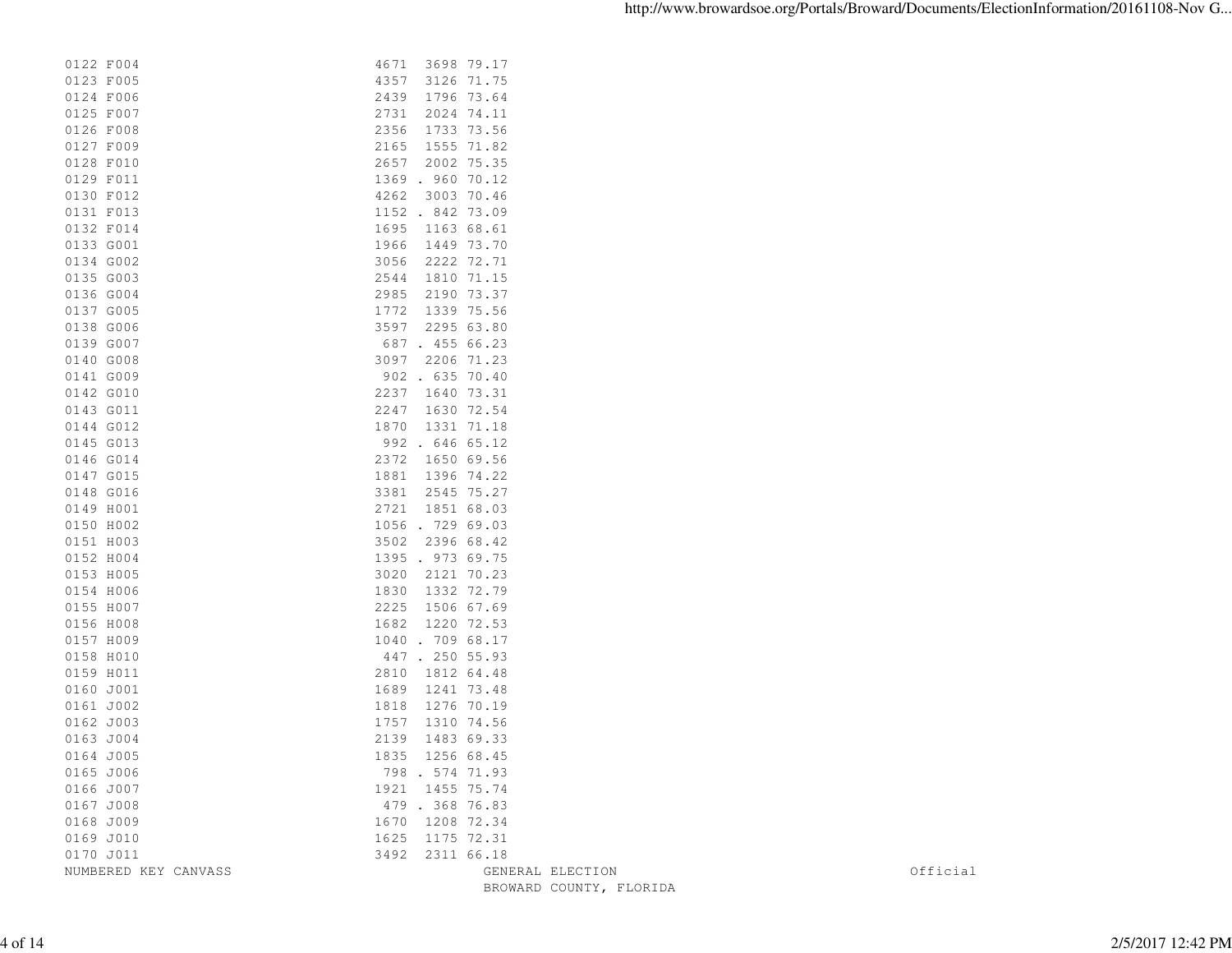| 0122 F004            | 4671<br>3698 79.17      |          |
|----------------------|-------------------------|----------|
| 0123 F005            | 4357<br>3126 71.75      |          |
| 0124 F006            | 1796 73.64<br>2439      |          |
| 0125 F007            | 2024 74.11<br>2731      |          |
| 0126 F008            | 2356<br>1733 73.56      |          |
| 0127 F009            | 1555 71.82<br>2165      |          |
| 0128 F010            | 2657<br>2002 75.35      |          |
| 0129 F011            | 1369 . 960 70.12        |          |
| 0130 F012            | 4262<br>3003 70.46      |          |
| 0131 F013            | 1152 . 842 73.09        |          |
| 0132 F014            | 1695<br>1163 68.61      |          |
| 0133 G001            | 1449 73.70<br>1966      |          |
| 0134 G002            | 3056<br>2222 72.71      |          |
| 0135 G003            | 1810 71.15<br>2544      |          |
| 0136 G004            | 2190 73.37<br>2985      |          |
| 0137 G005            | 1339 75.56<br>1772      |          |
| 0138 G006            | 3597<br>2295 63.80      |          |
| 0139 G007            | 687 . 455 66.23         |          |
| 0140 G008            | 3097 2206 71.23         |          |
| 0141 G009            | 902 . 635 70.40         |          |
| 0142 G010            | 2237<br>1640 73.31      |          |
| 0143 G011            | 1630 72.54<br>2247      |          |
| 0144 G012            | 1331 71.18<br>1870      |          |
| 0145 G013            | 992 . 646 65.12         |          |
| 0146 G014            | 2372<br>1650 69.56      |          |
| 0147 G015            | 1881<br>1396 74.22      |          |
| 0148 G016            | 2545 75.27<br>3381      |          |
| 0149 H001            | 1851 68.03<br>2721      |          |
| 0150 H002            | 1056 . 729 69.03        |          |
| 0151 H003            | 3502 2396 68.42         |          |
| 0152 H004            | 1395 . 973 69.75        |          |
| 0153 H005            | 3020<br>2121 70.23      |          |
| 0154 H006            | 1332 72.79<br>1830      |          |
| 0155 H007            | 1506 67.69<br>2225      |          |
| 0156 H008            | 1682<br>1220 72.53      |          |
| 0157 H009            | 1040 . 709 68.17        |          |
| 0158 H010            | 447.250 55.93           |          |
| 0159 H011            | 1812 64.48<br>2810      |          |
| 0160 J001            | 1241 73.48<br>1689      |          |
| 0161 J002            | 1818<br>1276 70.19      |          |
| 0162 J003            | 1757<br>1310 74.56      |          |
| 0163 J004            | 2139<br>1483 69.33      |          |
| 0164 J005            | 1835 1256 68.45         |          |
| 0165 J006            | 798 . 574 71.93         |          |
| 0166 J007            | 1921 1455 75.74         |          |
| 0167 J008            | 479 . 368 76.83         |          |
| 0168 J009            | 1670 1208 72.34         |          |
| 0169 J010            | 1625 1175 72.31         |          |
| 0170 J011            | 3492 2311 66.18         |          |
| NUMBERED KEY CANVASS | GENERAL ELECTION        | Official |
|                      | BROWARD COUNTY, FLORIDA |          |
|                      |                         |          |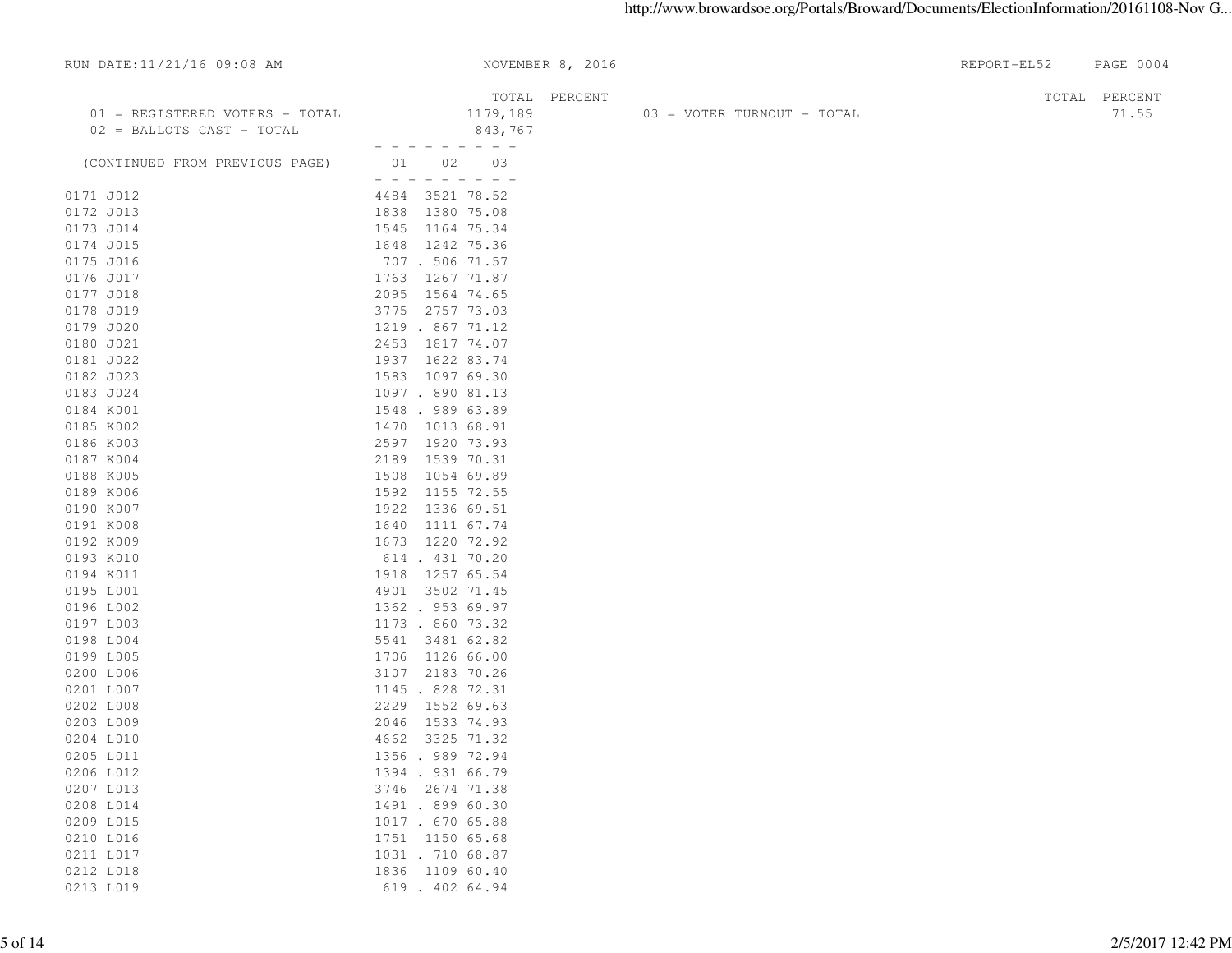| RUN DATE:11/21/16 09:08 AM                                  | NOVEMBER 8, 2016                     |                            | REPORT-EL52 | PAGE 0004     |
|-------------------------------------------------------------|--------------------------------------|----------------------------|-------------|---------------|
|                                                             | TOTAL PERCENT                        |                            |             | TOTAL PERCENT |
| 01 = REGISTERED VOTERS - TOTAL<br>02 = BALLOTS CAST - TOTAL | 1179,189<br>843,767                  | 03 = VOTER TURNOUT - TOTAL |             | 71.55         |
| (CONTINUED FROM PREVIOUS PAGE)                              | - - - - - - - - -<br>01 02 03        |                            |             |               |
| 0171 J012                                                   | - - - - - - - - -<br>4484 3521 78.52 |                            |             |               |
| 0172 J013                                                   | 1838 1380 75.08                      |                            |             |               |
| 0173 J014                                                   | 1545 1164 75.34                      |                            |             |               |
| 0174 J015                                                   | 1648 1242 75.36                      |                            |             |               |
| 0175 J016                                                   | 707 . 506 71.57                      |                            |             |               |
| 0176 JO17                                                   | 1763 1267 71.87                      |                            |             |               |
| 0177 JO18                                                   | 2095 1564 74.65                      |                            |             |               |
| 0178 JO19                                                   | 3775 2757 73.03                      |                            |             |               |
| 0179 JO20                                                   | 1219 . 867 71.12                     |                            |             |               |
| 0180 JO21                                                   | 2453 1817 74.07                      |                            |             |               |
| 0181 JO22                                                   | 1937 1622 83.74                      |                            |             |               |
| 0182 JO23                                                   | 1583 1097 69.30                      |                            |             |               |
| 0183 JO24                                                   | 1097 . 890 81.13                     |                            |             |               |
| 0184 K001                                                   | 1548.98963.89                        |                            |             |               |
| 0185 K002                                                   | 1470 1013 68.91                      |                            |             |               |
| 0186 K003                                                   | 2597 1920 73.93                      |                            |             |               |
| 0187 K004                                                   | 2189 1539 70.31                      |                            |             |               |
| 0188 K005                                                   | 1508 1054 69.89                      |                            |             |               |
| 0189 K006                                                   | 1592 1155 72.55                      |                            |             |               |
| 0190 K007                                                   | 1922 1336 69.51                      |                            |             |               |
| 0191 K008                                                   | 1640 1111 67.74                      |                            |             |               |
| 0192 KOO9                                                   | 1673 1220 72.92                      |                            |             |               |
| 0193 K010                                                   | 614 . 431 70.20                      |                            |             |               |
| 0194 KO11                                                   | 1918 1257 65.54                      |                            |             |               |
| 0195 L001                                                   | 4901 3502 71.45                      |                            |             |               |
| 0196 L002                                                   | 1362.95369.97                        |                            |             |               |
| 0197 L003                                                   | 1173 . 860 73.32                     |                            |             |               |
| 0198 L004                                                   | 5541 3481 62.82                      |                            |             |               |
| 0199 L005                                                   | 1706 1126 66.00                      |                            |             |               |
| 0200 L006                                                   | 3107 2183 70.26                      |                            |             |               |
| 0201 L007                                                   | 1145 . 828 72.31                     |                            |             |               |
| 0202 L008                                                   | 2229 1552 69.63                      |                            |             |               |
| 0203 L009                                                   | 2046 1533 74.93                      |                            |             |               |
| 0204 L010                                                   | 4662 3325 71.32                      |                            |             |               |
| 0205 L011                                                   | 1356 . 989 72.94                     |                            |             |               |
| 0206 L012                                                   | 1394 . 931 66.79                     |                            |             |               |
| 0207 L013                                                   | 3746 2674 71.38                      |                            |             |               |
| 0208 L014                                                   | 1491 . 899 60.30                     |                            |             |               |
| 0209 L015                                                   | 1017 . 670 65.88                     |                            |             |               |
| 0210 L016                                                   | 1751 1150 65.68                      |                            |             |               |
| 0211 L017                                                   | 1031 . 710 68.87                     |                            |             |               |
| 0212 L018                                                   | 1836 1109 60.40                      |                            |             |               |
| 0213 L019                                                   | 619 . 402 64.94                      |                            |             |               |
|                                                             |                                      |                            |             |               |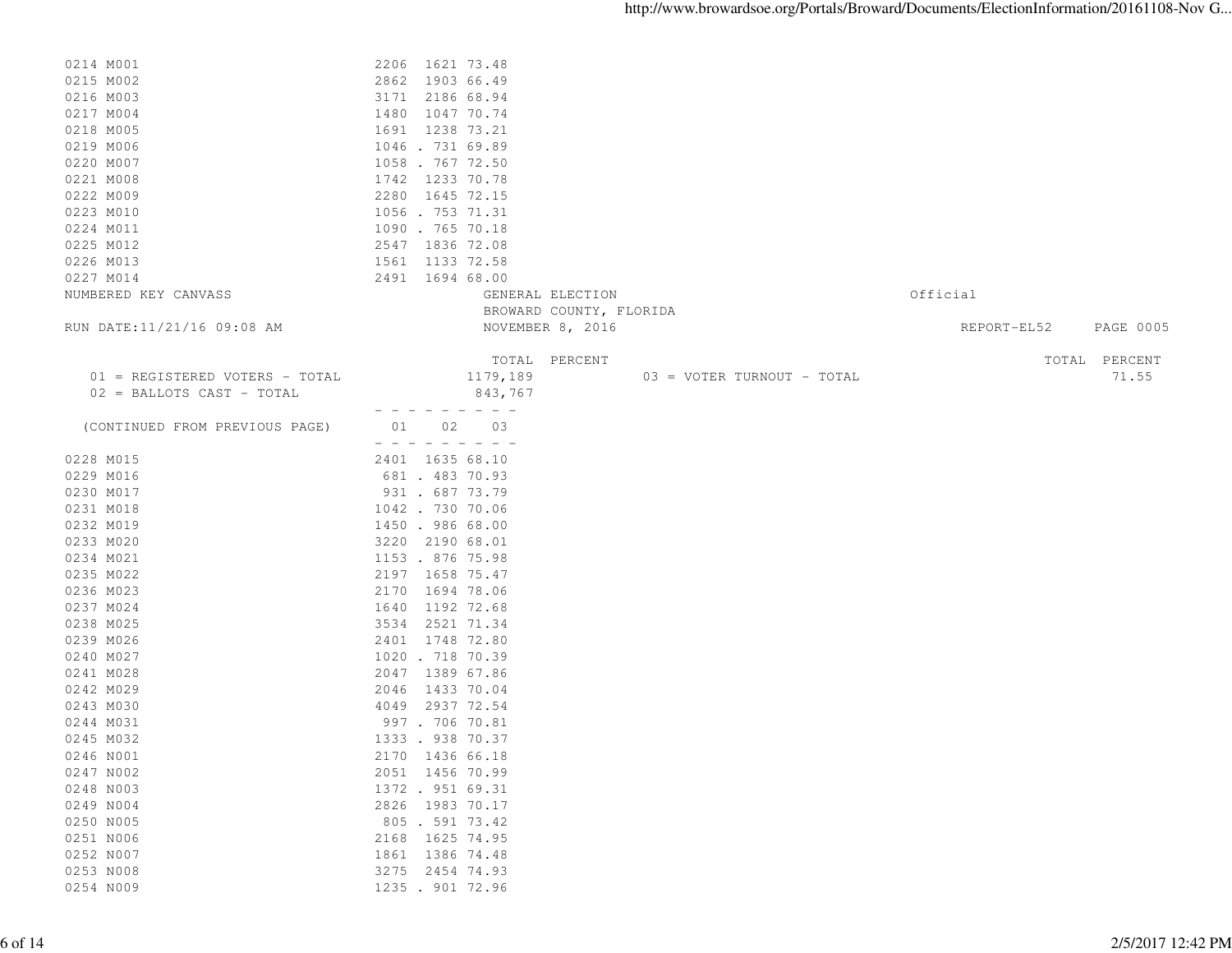| 0214 M001                      | 2206 1621 73.48                        |             |               |
|--------------------------------|----------------------------------------|-------------|---------------|
| 0215 M002                      | 2862 1903 66.49                        |             |               |
| 0216 M003                      | 3171 2186 68.94                        |             |               |
| 0217 M004                      | 1480 1047 70.74                        |             |               |
| 0218 M005                      | 1691 1238 73.21                        |             |               |
|                                | 1046.731 69.89                         |             |               |
| 0219 M006                      |                                        |             |               |
| 0220 M007                      | 1058 . 767 72.50                       |             |               |
| 0221 M008                      | 1742 1233 70.78                        |             |               |
| 0222 M009                      | 2280 1645 72.15                        |             |               |
| 0223 M010                      | 1056.75371.31                          |             |               |
| 0224 M011                      | 1090 . 765 70.18                       |             |               |
| 0225 M012                      | 2547 1836 72.08                        |             |               |
| 0226 M013                      | 1561 1133 72.58                        |             |               |
| 0227 M014                      | 2491 1694 68.00                        |             |               |
| NUMBERED KEY CANVASS           | GENERAL ELECTION                       | Official    |               |
|                                | BROWARD COUNTY, FLORIDA                |             |               |
| RUN DATE:11/21/16 09:08 AM     | NOVEMBER 8, 2016                       | REPORT-EL52 | PAGE 0005     |
|                                |                                        |             |               |
|                                | TOTAL PERCENT                          |             | TOTAL PERCENT |
| 01 = REGISTERED VOTERS - TOTAL | 1179,189<br>03 = VOTER TURNOUT - TOTAL |             | 71.55         |
| 02 = BALLOTS CAST - TOTAL      | 843,767                                |             |               |
|                                | . <i>.</i> .                           |             |               |
| (CONTINUED FROM PREVIOUS PAGE) | 01 02 03                               |             |               |
|                                | - - - - - - - - -                      |             |               |
| 0228 M015                      | 2401 1635 68.10                        |             |               |
| 0229 M016                      | 681 . 483 70.93                        |             |               |
| 0230 M017                      | 931 . 687 73.79                        |             |               |
| 0231 M018                      | 1042 . 730 70.06                       |             |               |
| 0232 M019                      | 1450 . 986 68.00                       |             |               |
| 0233 M020                      | 3220 2190 68.01                        |             |               |
| 0234 M021                      | 1153 . 876 75.98                       |             |               |
| 0235 M022                      | 2197 1658 75.47                        |             |               |
|                                |                                        |             |               |
| 0236 M023                      | 2170<br>1694 78.06                     |             |               |
| 0237 M024                      | 1192 72.68<br>1640                     |             |               |
| 0238 M025                      | 3534 2521 71.34                        |             |               |
| 0239 M026                      | 2401 1748 72.80                        |             |               |
| 0240 M027                      | 1020 . 718 70.39                       |             |               |
| 0241 M028                      | 2047 1389 67.86                        |             |               |
| 0242 M029                      | 2046 1433 70.04                        |             |               |
| 0243 M030                      | 4049 2937 72.54                        |             |               |
| 0244 M031                      | 997 . 706 70.81                        |             |               |
| 0245 M032                      | 1333 . 938 70.37                       |             |               |
| 0246 NO01                      | 2170 1436 66.18                        |             |               |
| 0247 N002                      | 2051 1456 70.99                        |             |               |
| 0248 N003                      | 1372 . 951 69.31                       |             |               |
| 0249 N004                      | 2826 1983 70.17                        |             |               |
| 0250 N005                      | 805 . 591 73.42                        |             |               |
| 0251 N006                      | 1625 74.95<br>2168                     |             |               |
| 0252 N007                      | 1861 1386 74.48                        |             |               |
| 0253 N008                      | 3275<br>2454 74.93                     |             |               |
| 0254 N009                      | 1235 . 901 72.96                       |             |               |
|                                |                                        |             |               |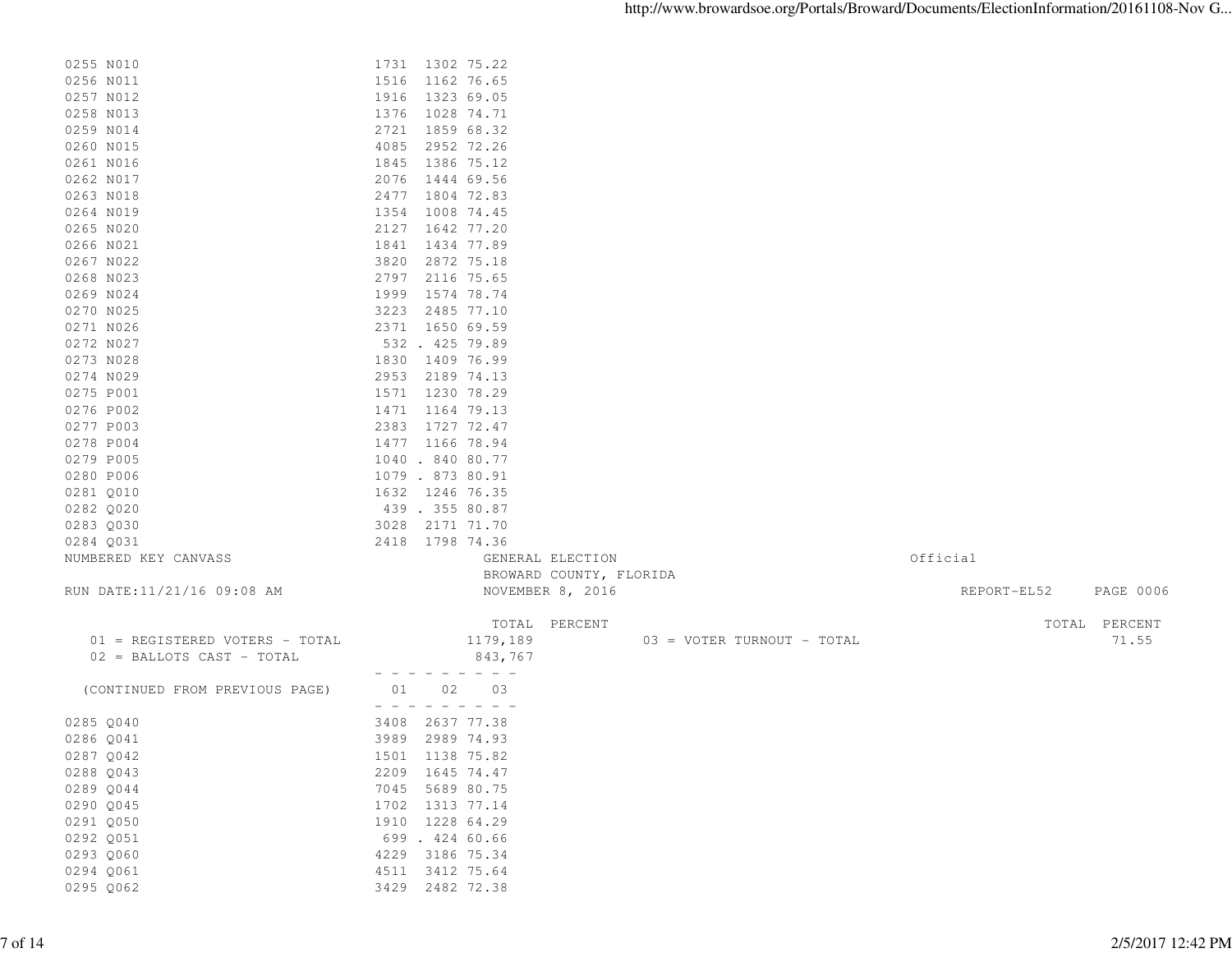| 0255 N010                      | 1731 1302 75.22  |                             |                         |                            |             |               |
|--------------------------------|------------------|-----------------------------|-------------------------|----------------------------|-------------|---------------|
| 0256 N011                      | 1516             | 1162 76.65                  |                         |                            |             |               |
| 0257 N012                      | 1916             | 1323 69.05                  |                         |                            |             |               |
| 0258 N013                      | 1376             | 1028 74.71                  |                         |                            |             |               |
| 0259 N014                      | 2721             | 1859 68.32                  |                         |                            |             |               |
| 0260 N015                      | 4085             | 2952 72.26                  |                         |                            |             |               |
| 0261 N016                      | 1845             | 1386 75.12                  |                         |                            |             |               |
| 0262 N017                      | 2076             | 1444 69.56                  |                         |                            |             |               |
| 0263 N018                      | 2477 1804 72.83  |                             |                         |                            |             |               |
| 0264 N019                      | 1354 1008 74.45  |                             |                         |                            |             |               |
| 0265 N020                      | 2127             | 1642 77.20                  |                         |                            |             |               |
| 0266 N021                      | 1841             | 1434 77.89                  |                         |                            |             |               |
| 0267 N022                      | 3820             | 2872 75.18                  |                         |                            |             |               |
| 0268 N023                      | 2797 2116 75.65  |                             |                         |                            |             |               |
| 0269 N024                      | 1999             | 1574 78.74                  |                         |                            |             |               |
| 0270 N025                      | 3223             | 2485 77.10                  |                         |                            |             |               |
| 0271 N026                      | 2371 1650 69.59  |                             |                         |                            |             |               |
| 0272 N027                      | 532 . 425 79.89  |                             |                         |                            |             |               |
| 0273 N028                      | 1830             | 1409 76.99                  |                         |                            |             |               |
| 0274 N029                      | 2953             | 2189 74.13                  |                         |                            |             |               |
| 0275 P001                      | 1571 1230 78.29  |                             |                         |                            |             |               |
| 0276 P002                      | 1471 1164 79.13  |                             |                         |                            |             |               |
| 0277 P003                      | 2383 1727 72.47  |                             |                         |                            |             |               |
| 0278 P004                      | 1477 1166 78.94  |                             |                         |                            |             |               |
| 0279 P005                      | 1040 . 840 80.77 |                             |                         |                            |             |               |
| 0280 P006                      | 1079 . 873 80.91 |                             |                         |                            |             |               |
| 0281 Q010                      | 1632 1246 76.35  |                             |                         |                            |             |               |
| 0282 Q020                      | 439 . 355 80.87  |                             |                         |                            |             |               |
| 0283 Q030                      | 3028             | 2171 71.70                  |                         |                            |             |               |
| 0284 Q031                      | 2418 1798 74.36  |                             |                         |                            |             |               |
| NUMBERED KEY CANVASS           |                  |                             | GENERAL ELECTION        |                            | Official    |               |
|                                |                  |                             | BROWARD COUNTY, FLORIDA |                            |             |               |
| RUN DATE:11/21/16 09:08 AM     |                  |                             | NOVEMBER 8, 2016        |                            | REPORT-EL52 | PAGE 0006     |
|                                |                  |                             |                         |                            |             |               |
|                                |                  |                             | TOTAL PERCENT           |                            |             | TOTAL PERCENT |
| 01 = REGISTERED VOTERS - TOTAL |                  | 1179,189                    |                         | 03 = VOTER TURNOUT - TOTAL |             | 71.55         |
| 02 = BALLOTS CAST - TOTAL      |                  | 843,767                     |                         |                            |             |               |
|                                |                  | $- - - - - - - - - - - - -$ |                         |                            |             |               |
| (CONTINUED FROM PREVIOUS PAGE) | 01<br>02         | 03                          |                         |                            |             |               |
|                                | $  -$            | $  -$                       |                         |                            |             |               |
| 0285 Q040                      | 3408 2637 77.38  |                             |                         |                            |             |               |
| 0286 Q041                      | 3989 2989 74.93  |                             |                         |                            |             |               |
| 0287 Q042                      | 1501 1138 75.82  |                             |                         |                            |             |               |
| 0288 Q043                      | 2209 1645 74.47  |                             |                         |                            |             |               |
| 0289 Q044                      | 7045 5689 80.75  |                             |                         |                            |             |               |
| 0290 Q045                      | 1702 1313 77.14  |                             |                         |                            |             |               |
| 0291 Q050                      | 1910 1228 64.29  |                             |                         |                            |             |               |
| 0292 Q051                      | 699 . 424 60.66  |                             |                         |                            |             |               |
| 0293 Q060                      | 4229 3186 75.34  |                             |                         |                            |             |               |
| 0294 Q061                      | 4511 3412 75.64  |                             |                         |                            |             |               |
| 0295 Q062                      | 3429 2482 72.38  |                             |                         |                            |             |               |
|                                |                  |                             |                         |                            |             |               |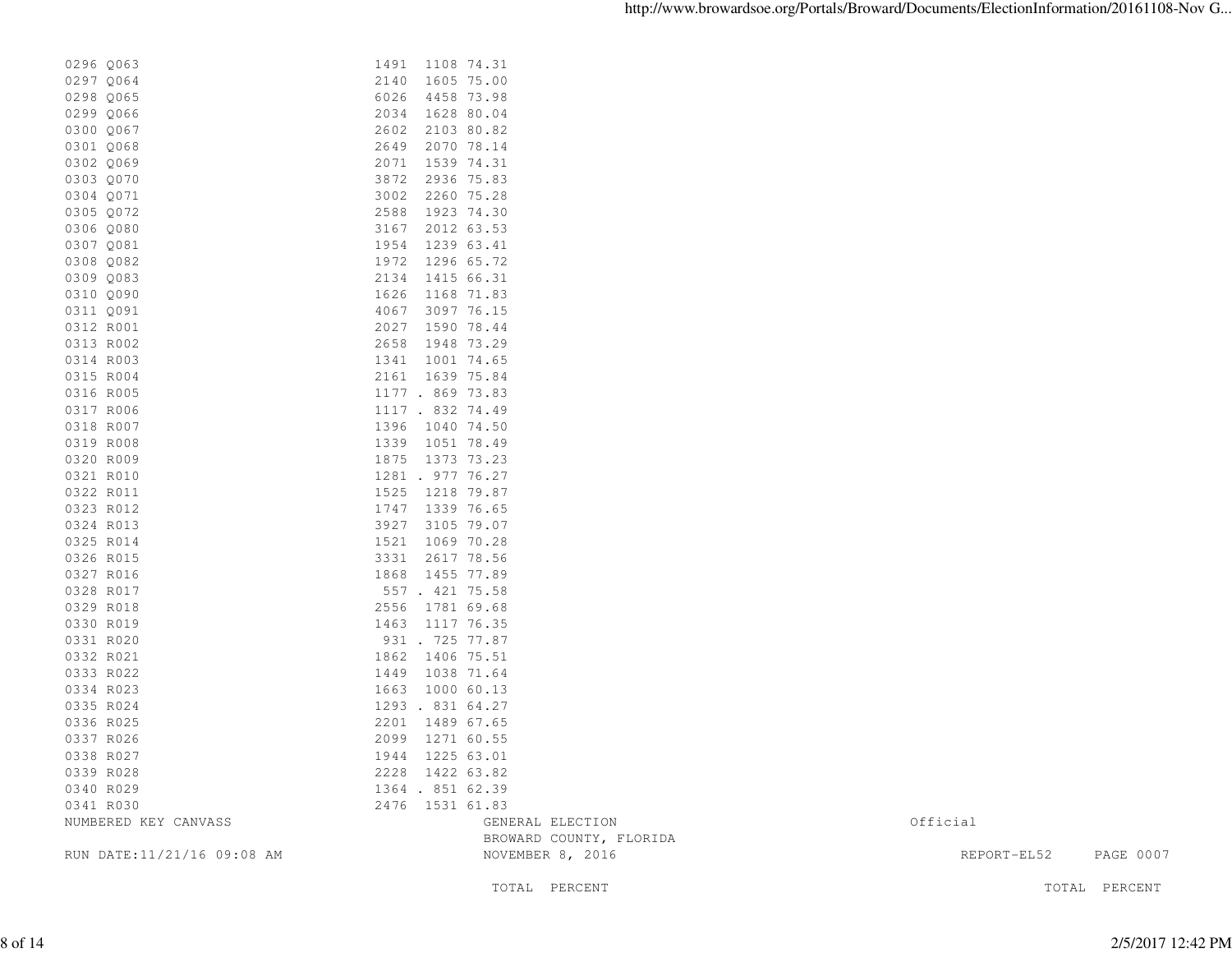| RUN DATE: 11/21/16 09:08 AM | NOVEMBER 8, 2016                   | REPORT-EL52 | PAGE 0007 |
|-----------------------------|------------------------------------|-------------|-----------|
|                             | BROWARD COUNTY, FLORIDA            |             |           |
| NUMBERED KEY CANVASS        | GENERAL ELECTION                   | Official    |           |
| 0341 R030                   | 2476 1531 61.83                    |             |           |
| 0340 R029                   | 1364 . 851 62.39                   |             |           |
| 0339 R028                   | 2228 1422 63.82                    |             |           |
| 0338 R027                   | 1944 1225 63.01                    |             |           |
| 0336 R025<br>0337 R026      | 2201 1489 67.65<br>2099 1271 60.55 |             |           |
| 0335 R024                   | 1293 . 831 64.27                   |             |           |
| 0334 R023                   | 1663 1000 60.13                    |             |           |
| 0333 R022                   | 1449 1038 71.64                    |             |           |
| 0332 R021                   | 1862 1406 75.51                    |             |           |
| 0331 R020                   | 931 . 725 77.87                    |             |           |
| 0330 R019                   | 1463 1117 76.35                    |             |           |
| 0329 R018                   | 2556 1781 69.68                    |             |           |
| 0328 R017                   | 557 . 421 75.58                    |             |           |
| 0327 R016                   | 1868 1455 77.89                    |             |           |
| 0326 R015                   | 3331 2617 78.56                    |             |           |
| 0325 R014                   | 1521 1069 70.28                    |             |           |
| 0324 R013                   | 3927<br>3105 79.07                 |             |           |
| 0323 R012                   | 1747 1339 76.65                    |             |           |
| 0322 R011                   | 1525 1218 79.87                    |             |           |
| 0321 R010                   | 1281 . 977 76.27                   |             |           |
| 0320 R009                   | 1875 1373 73.23                    |             |           |
| 0319 R008                   | 1339 1051 78.49                    |             |           |
| 0318 R007                   | 1396 1040 74.50                    |             |           |
| 0317 R006                   | 1117 . 832 74.49                   |             |           |
| 0316 R005                   | 1177 . 869 73.83                   |             |           |
| 0315 R004                   | 2161 1639 75.84                    |             |           |
| 0314 R003                   | 1341 1001 74.65                    |             |           |
| 0313 R002                   | 2658 1948 73.29                    |             |           |
| 0312 R001                   | 2027 1590 78.44                    |             |           |
| 0311 Q091                   | 4067 3097 76.15                    |             |           |
| 0310 Q090                   | 1626 1168 71.83                    |             |           |
| 0309 Q083                   | 2134 1415 66.31                    |             |           |
| 0308 Q082                   | 1972 1296 65.72                    |             |           |
| 0307 Q081                   | 1954 1239 63.41                    |             |           |
| 0306 Q080                   | 2012 63.53<br>3167                 |             |           |
| 0305 Q072                   | 1923 74.30<br>2588                 |             |           |
| 0304 Q071                   | 3002 2260 75.28                    |             |           |
| 0303 Q070                   | 3872<br>2936 75.83                 |             |           |
| 0302 Q069                   | 2071 1539 74.31                    |             |           |
| 0301 Q068                   | 2649<br>2070 78.14                 |             |           |
| 0300 Q067                   | 2602<br>2103 80.82                 |             |           |
| 0299 Q066                   | 2034 1628 80.04                    |             |           |
| 0298 Q065                   | 6026<br>4458 73.98                 |             |           |
| 0297 Q064                   | 1605 75.00<br>2140                 |             |           |
| 0296 Q063                   | 1491 1108 74.31                    |             |           |

TOTAL PERCENT TOTAL PERCENT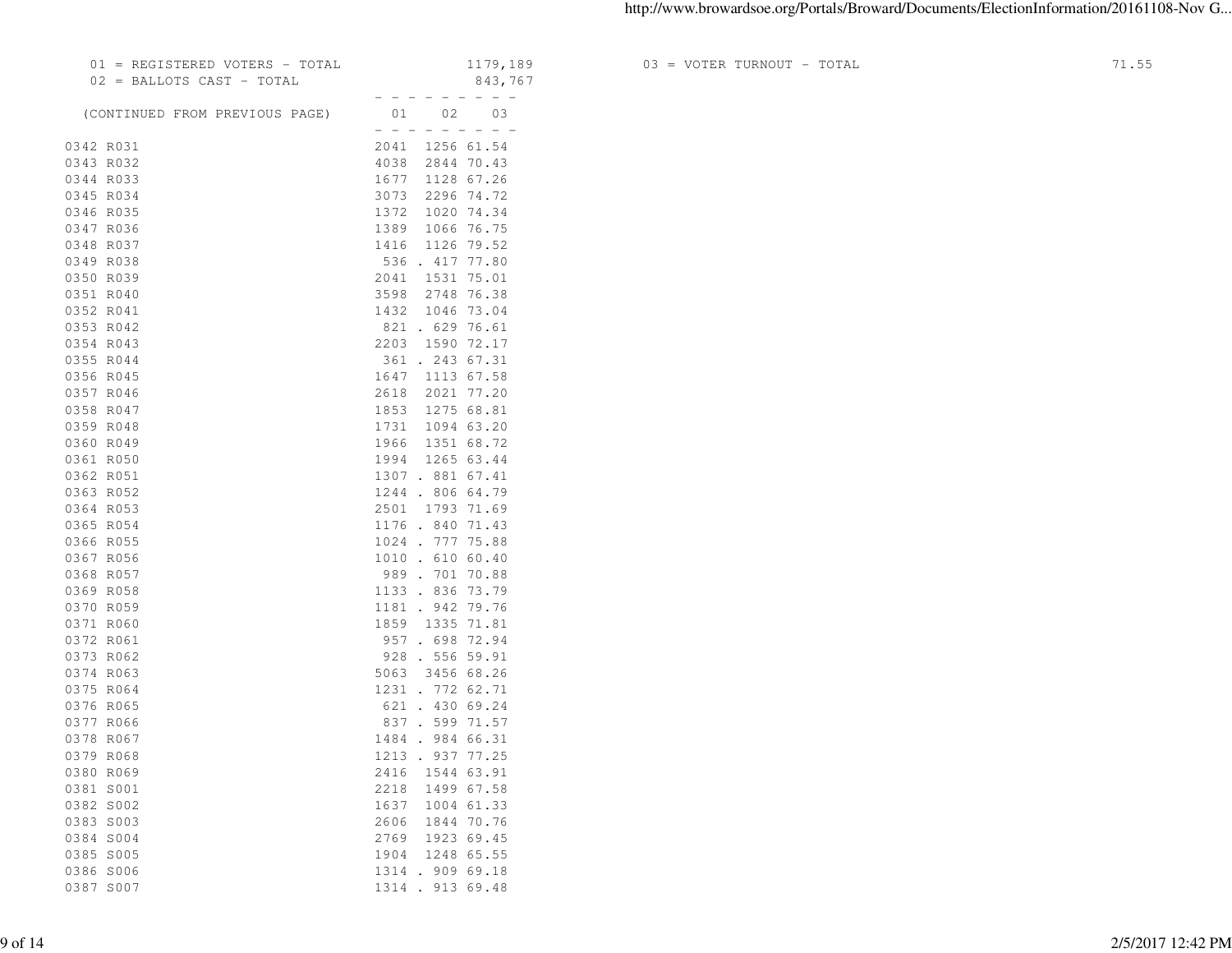|           |      | 01 = REGISTERED VOTERS - TOTAL |              |                                                                  | 1179,189   |
|-----------|------|--------------------------------|--------------|------------------------------------------------------------------|------------|
|           |      | 02 = BALLOTS CAST - TOTAL      |              |                                                                  | 843,767    |
|           |      |                                |              |                                                                  |            |
|           |      | (CONTINUED FROM PREVIOUS PAGE) | $  -$        | 01<br>02<br>$\overline{\phantom{0}}$<br>$\overline{\phantom{0}}$ | 03         |
| 0342 R031 |      |                                | 2041         |                                                                  | 1256 61.54 |
| 0343 R032 |      |                                | 4038         |                                                                  | 2844 70.43 |
| 0344 R033 |      |                                | 1677         |                                                                  | 1128 67.26 |
| 0345 R034 |      |                                | 3073         |                                                                  | 2296 74.72 |
| 0346 R035 |      |                                | 1372         |                                                                  | 1020 74.34 |
| 0347 R036 |      |                                | 1389         |                                                                  | 1066 76.75 |
| 0348 R037 |      |                                | 1416         |                                                                  | 1126 79.52 |
| 0349 R038 |      |                                |              | 536 . 417 77.80                                                  |            |
| 0350 R039 |      |                                | 2041         | 1531                                                             | 75.01      |
| 0351 R040 |      |                                |              | 3598 2748 76.38                                                  |            |
| 0352 R041 |      |                                | 1432         |                                                                  | 1046 73.04 |
| 0353 R042 |      |                                |              | 821 . 629                                                        | 76.61      |
| 0354 R043 |      |                                |              | 2203 1590 72.17                                                  |            |
| 0355 R044 |      |                                |              | 361 . 243 67.31                                                  |            |
| 0356 R045 |      |                                |              | 1647 1113 67.58                                                  |            |
| 0357 R046 |      |                                | 2618         |                                                                  | 2021 77.20 |
| 0358 R047 |      |                                | 1853         |                                                                  | 1275 68.81 |
| 0359 R048 |      |                                | 1731         |                                                                  | 1094 63.20 |
| 0360 R049 |      |                                | 1966         |                                                                  | 1351 68.72 |
| 0361 R050 |      |                                |              | 1994 1265 63.44                                                  |            |
| 0362 R051 |      |                                |              | 1307 . 881 67.41                                                 |            |
| 0363 R052 |      |                                |              | 1244 . 806 64.79                                                 |            |
| 0364 R053 |      |                                |              | 2501 1793 71.69                                                  |            |
| 0365 R054 |      |                                |              | 1176 . 840 71.43                                                 |            |
| 0366 R055 |      |                                |              | 1024 . 777 75.88                                                 |            |
| 0367 R056 |      |                                |              | 1010 . 610 60.40                                                 |            |
| 0368 R057 |      |                                |              | 989.70170.88                                                     |            |
| 0369 R058 |      |                                | 1133.        |                                                                  | 836 73.79  |
| 0370 R059 |      |                                | 1181 .       | 942                                                              | 79.76      |
| 0371 R060 |      |                                |              | 1859 1335                                                        | 71.81      |
| 0372 R061 |      |                                |              | 957.698                                                          | 72.94      |
| 0373 R062 |      |                                |              | 928 . 556 59.91                                                  |            |
| 0374 R063 |      |                                | 5063         |                                                                  | 3456 68.26 |
| 0375 R064 |      |                                |              | 1231 . 772 62.71                                                 |            |
| 0376 R065 |      |                                |              | 621 . 430 69.24                                                  |            |
| 0377 R066 |      |                                |              | 837 . 599 71.57                                                  |            |
| 0378 R067 |      |                                |              | 1484 . 984 66.31                                                 |            |
| 0379 R068 |      |                                | 1213.        |                                                                  | 937 77.25  |
| 0380 R069 |      |                                | 2416         |                                                                  | 1544 63.91 |
| 0381 S001 |      |                                | 2218         |                                                                  | 1499 67.58 |
| 0382 S002 |      |                                |              |                                                                  | 1004 61.33 |
| 0383      | S003 |                                | 1637<br>2606 |                                                                  | 1844 70.76 |
| 0384 S004 |      |                                | 2769         |                                                                  | 1923 69.45 |
| 0385 S005 |      |                                | 1904         |                                                                  | 1248 65.55 |
| 0386 S006 |      |                                |              | 1314 . 909 69.18                                                 |            |
| 0387      | S007 |                                | 1314.        |                                                                  | 913 69.48  |
|           |      |                                |              |                                                                  |            |

 $03$  = VOTER TURNOUT - TOTAL  $71.55$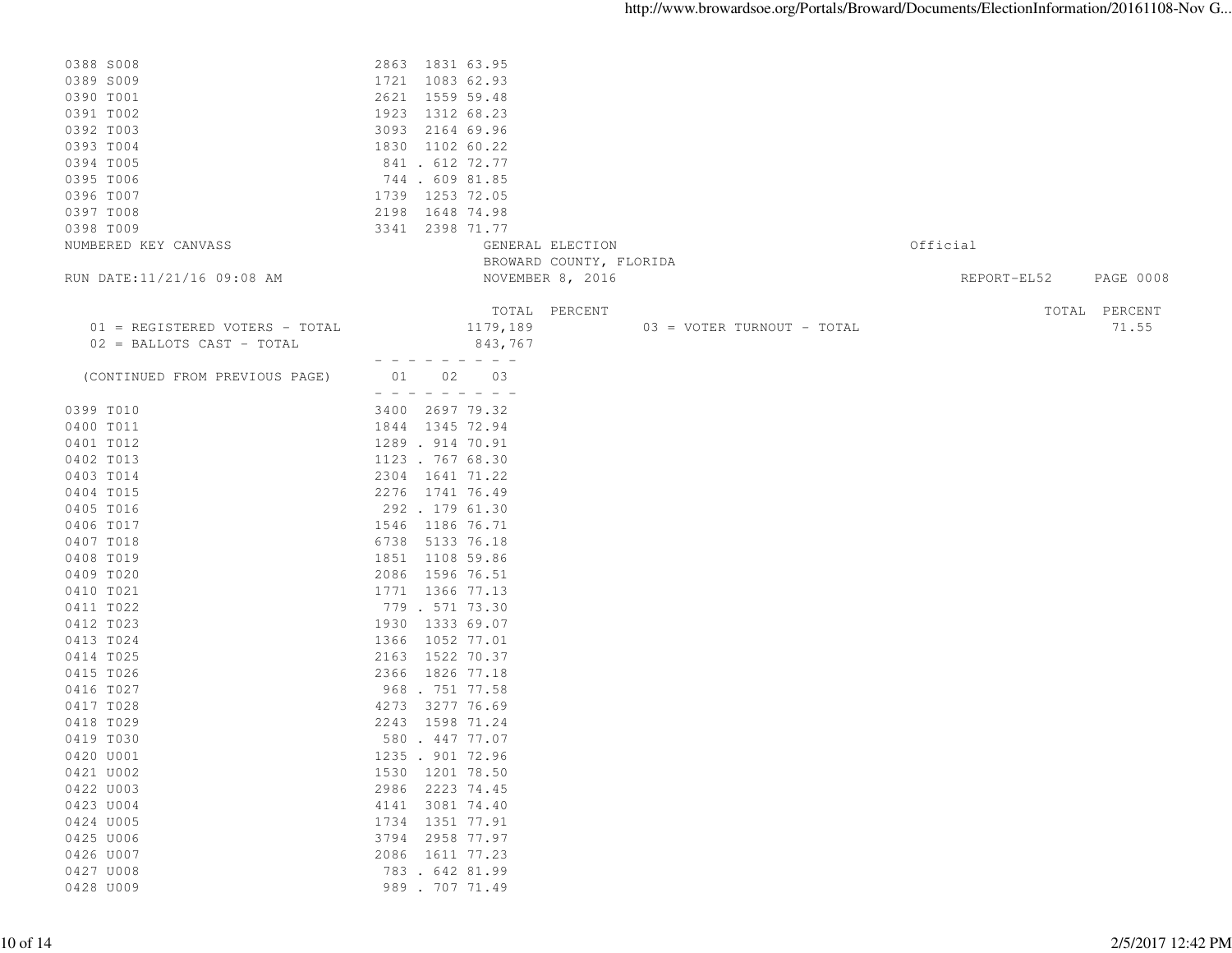| 0388 S008                      | 2863 1831 63.95                                                                                                                                                                                                                                                                                                                                                                              |                            |                                 |
|--------------------------------|----------------------------------------------------------------------------------------------------------------------------------------------------------------------------------------------------------------------------------------------------------------------------------------------------------------------------------------------------------------------------------------------|----------------------------|---------------------------------|
| 0389 S009                      | 1721 1083 62.93                                                                                                                                                                                                                                                                                                                                                                              |                            |                                 |
| 0390 T001                      | 2621 1559 59.48                                                                                                                                                                                                                                                                                                                                                                              |                            |                                 |
| 0391 T002                      | 1923 1312 68.23                                                                                                                                                                                                                                                                                                                                                                              |                            |                                 |
| 0392 T003                      | 3093 2164 69.96                                                                                                                                                                                                                                                                                                                                                                              |                            |                                 |
|                                |                                                                                                                                                                                                                                                                                                                                                                                              |                            |                                 |
| 0393 T004                      | 1830 1102 60.22                                                                                                                                                                                                                                                                                                                                                                              |                            |                                 |
| 0394 T005                      | 841 . 612 72.77                                                                                                                                                                                                                                                                                                                                                                              |                            |                                 |
| 0395 T006                      | 744 . 609 81.85                                                                                                                                                                                                                                                                                                                                                                              |                            |                                 |
| 0396 T007                      | 1739 1253 72.05                                                                                                                                                                                                                                                                                                                                                                              |                            |                                 |
| 0397 T008                      | 2198 1648 74.98                                                                                                                                                                                                                                                                                                                                                                              |                            |                                 |
| 0398 T009                      | 3341 2398 71.77                                                                                                                                                                                                                                                                                                                                                                              |                            |                                 |
| NUMBERED KEY CANVASS           |                                                                                                                                                                                                                                                                                                                                                                                              | GENERAL ELECTION           | Official                        |
|                                |                                                                                                                                                                                                                                                                                                                                                                                              | BROWARD COUNTY, FLORIDA    |                                 |
| RUN DATE:11/21/16 09:08 AM     |                                                                                                                                                                                                                                                                                                                                                                                              | NOVEMBER 8, 2016           | REPORT-EL52<br><b>PAGE 0008</b> |
|                                |                                                                                                                                                                                                                                                                                                                                                                                              |                            |                                 |
|                                |                                                                                                                                                                                                                                                                                                                                                                                              | TOTAL PERCENT              | TOTAL PERCENT                   |
| 01 = REGISTERED VOTERS - TOTAL | 1179,189                                                                                                                                                                                                                                                                                                                                                                                     | 03 = VOTER TURNOUT - TOTAL | 71.55                           |
| 02 = BALLOTS CAST - TOTAL      | 843,767                                                                                                                                                                                                                                                                                                                                                                                      |                            |                                 |
|                                | $\frac{1}{2} \frac{1}{2} \frac{1}{2} \frac{1}{2} \frac{1}{2} \frac{1}{2} \frac{1}{2} \frac{1}{2} \frac{1}{2} \frac{1}{2} \frac{1}{2} \frac{1}{2} \frac{1}{2} \frac{1}{2} \frac{1}{2} \frac{1}{2} \frac{1}{2} \frac{1}{2} \frac{1}{2} \frac{1}{2} \frac{1}{2} \frac{1}{2} \frac{1}{2} \frac{1}{2} \frac{1}{2} \frac{1}{2} \frac{1}{2} \frac{1}{2} \frac{1}{2} \frac{1}{2} \frac{1}{2} \frac{$ |                            |                                 |
| (CONTINUED FROM PREVIOUS PAGE) | 03<br>01 02                                                                                                                                                                                                                                                                                                                                                                                  |                            |                                 |
|                                |                                                                                                                                                                                                                                                                                                                                                                                              |                            |                                 |
| 0399 T010                      | 3400 2697 79.32                                                                                                                                                                                                                                                                                                                                                                              |                            |                                 |
| 0400 T011                      | 1844 1345 72.94                                                                                                                                                                                                                                                                                                                                                                              |                            |                                 |
| 0401 T012                      | 1289 . 914 70.91                                                                                                                                                                                                                                                                                                                                                                             |                            |                                 |
| 0402 T013                      | 1123 . 767 68.30                                                                                                                                                                                                                                                                                                                                                                             |                            |                                 |
| 0403 T014                      | 2304 1641 71.22                                                                                                                                                                                                                                                                                                                                                                              |                            |                                 |
|                                |                                                                                                                                                                                                                                                                                                                                                                                              |                            |                                 |
| 0404 T015                      | 2276 1741 76.49                                                                                                                                                                                                                                                                                                                                                                              |                            |                                 |
| 0405 T016                      | 292 . 179 61.30                                                                                                                                                                                                                                                                                                                                                                              |                            |                                 |
| 0406 T017                      | 1546 1186 76.71                                                                                                                                                                                                                                                                                                                                                                              |                            |                                 |
| 0407 T018                      | 6738<br>5133 76.18                                                                                                                                                                                                                                                                                                                                                                           |                            |                                 |
| 0408 T019                      | 1851 1108 59.86                                                                                                                                                                                                                                                                                                                                                                              |                            |                                 |
| 0409 T020                      | 2086 1596 76.51                                                                                                                                                                                                                                                                                                                                                                              |                            |                                 |
| 0410 T021                      | 1771 1366 77.13                                                                                                                                                                                                                                                                                                                                                                              |                            |                                 |
| 0411 T022                      | 779 . 571 73.30                                                                                                                                                                                                                                                                                                                                                                              |                            |                                 |
| 0412 T023                      | 1930 1333 69.07                                                                                                                                                                                                                                                                                                                                                                              |                            |                                 |
| 0413 T024                      | 1366 1052 77.01                                                                                                                                                                                                                                                                                                                                                                              |                            |                                 |
| 0414 T025                      | 2163 1522 70.37                                                                                                                                                                                                                                                                                                                                                                              |                            |                                 |
| 0415 T026                      | 2366 1826 77.18                                                                                                                                                                                                                                                                                                                                                                              |                            |                                 |
| 0416 T027                      | 968 . 751 77.58                                                                                                                                                                                                                                                                                                                                                                              |                            |                                 |
| 0417 T028                      | 4273 3277 76.69                                                                                                                                                                                                                                                                                                                                                                              |                            |                                 |
| 0418 T029                      | 2243 1598 71.24                                                                                                                                                                                                                                                                                                                                                                              |                            |                                 |
| 0419 T030                      | 580 . 447 77.07                                                                                                                                                                                                                                                                                                                                                                              |                            |                                 |
| 0420 U001                      | 1235 . 901 72.96                                                                                                                                                                                                                                                                                                                                                                             |                            |                                 |
| 0421 U002                      | 1530 1201 78.50                                                                                                                                                                                                                                                                                                                                                                              |                            |                                 |
| 0422 U003                      | 2986<br>2223 74.45                                                                                                                                                                                                                                                                                                                                                                           |                            |                                 |
|                                |                                                                                                                                                                                                                                                                                                                                                                                              |                            |                                 |
| 0423 U004                      | 4141 3081 74.40                                                                                                                                                                                                                                                                                                                                                                              |                            |                                 |
| 0424 U005                      | 1734 1351 77.91                                                                                                                                                                                                                                                                                                                                                                              |                            |                                 |
| 0425 U006                      | 3794 2958 77.97                                                                                                                                                                                                                                                                                                                                                                              |                            |                                 |
| 0426 U007                      | 2086 1611 77.23                                                                                                                                                                                                                                                                                                                                                                              |                            |                                 |
| 0427 U008                      | 783 . 642 81.99                                                                                                                                                                                                                                                                                                                                                                              |                            |                                 |
| 0428 U009                      | 989 . 707 71.49                                                                                                                                                                                                                                                                                                                                                                              |                            |                                 |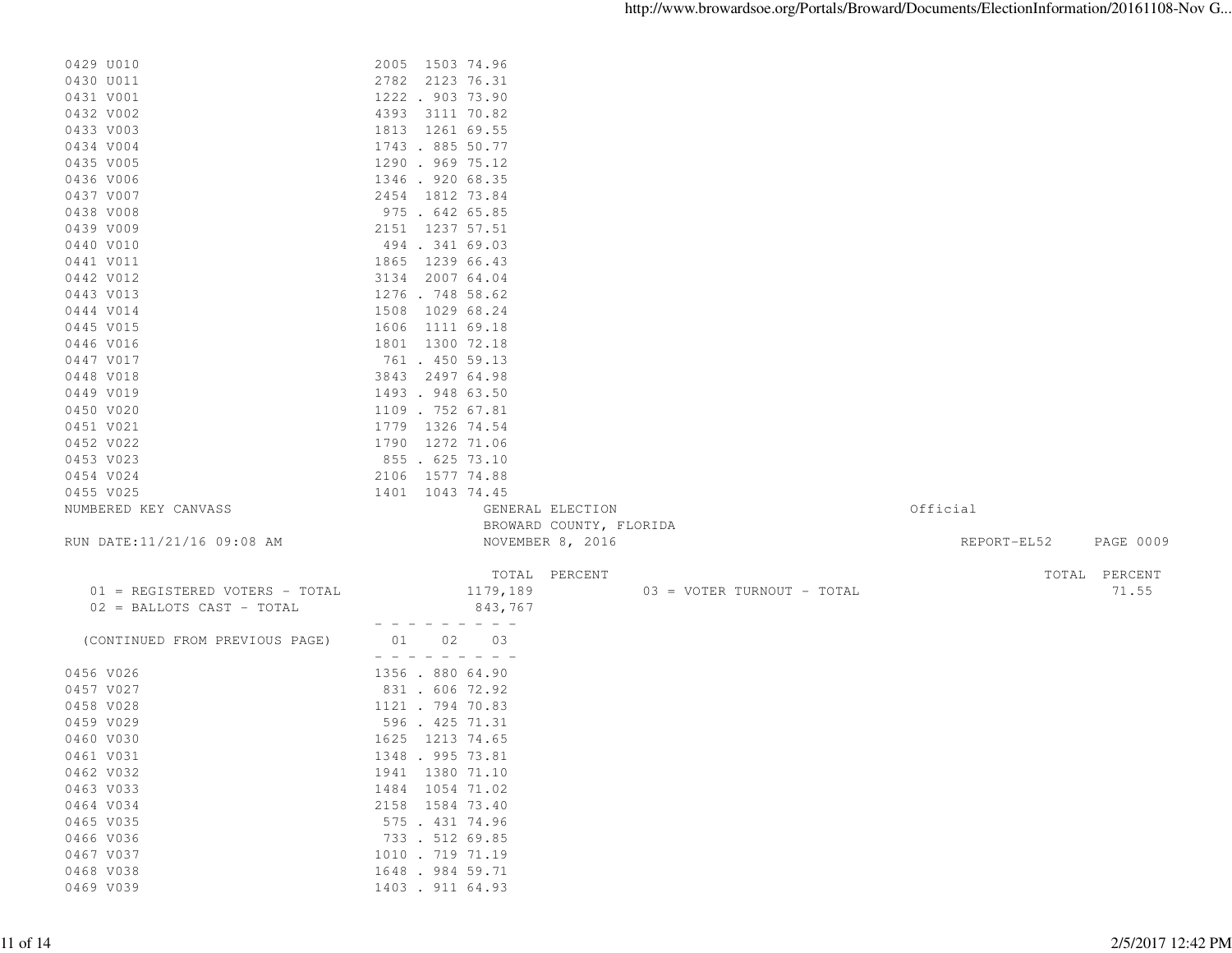| 0429 U010                      | 2005 1503 74.96                      |                            |             |                  |
|--------------------------------|--------------------------------------|----------------------------|-------------|------------------|
| 0430 U011                      | 2782 2123 76.31                      |                            |             |                  |
| 0431 V001                      | 1222 . 903 73.90                     |                            |             |                  |
| 0432 V002                      | 4393 3111 70.82                      |                            |             |                  |
| 0433 V003                      | 1813 1261 69.55                      |                            |             |                  |
| 0434 V004                      | 1743 . 885 50.77                     |                            |             |                  |
| 0435 V005                      | 1290 . 969 75.12                     |                            |             |                  |
| 0436 V006                      | 1346.92068.35                        |                            |             |                  |
| 0437 V007                      | 2454 1812 73.84                      |                            |             |                  |
| 0438 V008                      | 975 . 642 65.85                      |                            |             |                  |
| 0439 V009                      | 2151 1237 57.51                      |                            |             |                  |
| 0440 V010                      | 494 . 341 69.03                      |                            |             |                  |
| 0441 V011                      | 1865 1239 66.43                      |                            |             |                  |
| 0442 V012                      | 3134 2007 64.04                      |                            |             |                  |
| 0443 V013                      | 1276 . 748 58.62                     |                            |             |                  |
| 0444 V014                      | 1508 1029 68.24                      |                            |             |                  |
| 0445 V015                      | 1606 1111 69.18                      |                            |             |                  |
| 0446 V016                      | 1801 1300 72.18                      |                            |             |                  |
| 0447 V017                      | 761 . 450 59.13                      |                            |             |                  |
| 0448 V018                      | 3843 2497 64.98                      |                            |             |                  |
| 0449 V019                      | 1493 . 948 63.50                     |                            |             |                  |
| 0450 V020                      | 1109 . 752 67.81                     |                            |             |                  |
| 0451 V021                      | 1779 1326 74.54                      |                            |             |                  |
| 0452 V022                      | 1790 1272 71.06                      |                            |             |                  |
| 0453 V023                      | 855 . 625 73.10                      |                            |             |                  |
| 0454 V024                      | 2106 1577 74.88                      |                            |             |                  |
| 0455 V025                      | 1401 1043 74.45                      |                            |             |                  |
| NUMBERED KEY CANVASS           | GENERAL ELECTION                     |                            | Official    |                  |
|                                | BROWARD COUNTY, FLORIDA              |                            |             |                  |
| RUN DATE:11/21/16 09:08 AM     | NOVEMBER 8, 2016                     |                            | REPORT-EL52 | <b>PAGE 0009</b> |
|                                |                                      |                            |             |                  |
|                                | TOTAL PERCENT                        |                            |             | TOTAL PERCENT    |
| 01 = REGISTERED VOTERS - TOTAL | 1179,189                             | 03 = VOTER TURNOUT - TOTAL |             | 71.55            |
| 02 = BALLOTS CAST - TOTAL      | 843,767                              |                            |             |                  |
|                                | - - - - - - - -                      |                            |             |                  |
| (CONTINUED FROM PREVIOUS PAGE) | 01 02<br>03                          |                            |             |                  |
|                                | $  -$                                |                            |             |                  |
| 0456 V026                      | 1356 . 880 64.90                     |                            |             |                  |
| 0457 V027                      | 831 . 606 72.92                      |                            |             |                  |
| 0458 V028                      | 1121 . 794 70.83                     |                            |             |                  |
| 0459 V029                      | 596 . 425 71.31                      |                            |             |                  |
| 0460 V030                      | 1625 1213 74.65                      |                            |             |                  |
| 0461 V031                      | 1348 . 995 73.81                     |                            |             |                  |
| 0462 V032                      | 1941 1380 71.10                      |                            |             |                  |
| 0463 V033                      | 1484 1054 71.02                      |                            |             |                  |
| 0464 V034                      | 2158 1584 73.40                      |                            |             |                  |
| 0465 V035                      | 575 . 431 74.96                      |                            |             |                  |
| 0466 V036                      | 733 . 512 69.85                      |                            |             |                  |
| 0467 V037                      |                                      |                            |             |                  |
|                                | 1010 . 719 71.19                     |                            |             |                  |
| 0468 V038<br>0469 V039         | 1648 . 984 59.71<br>1403 . 911 64.93 |                            |             |                  |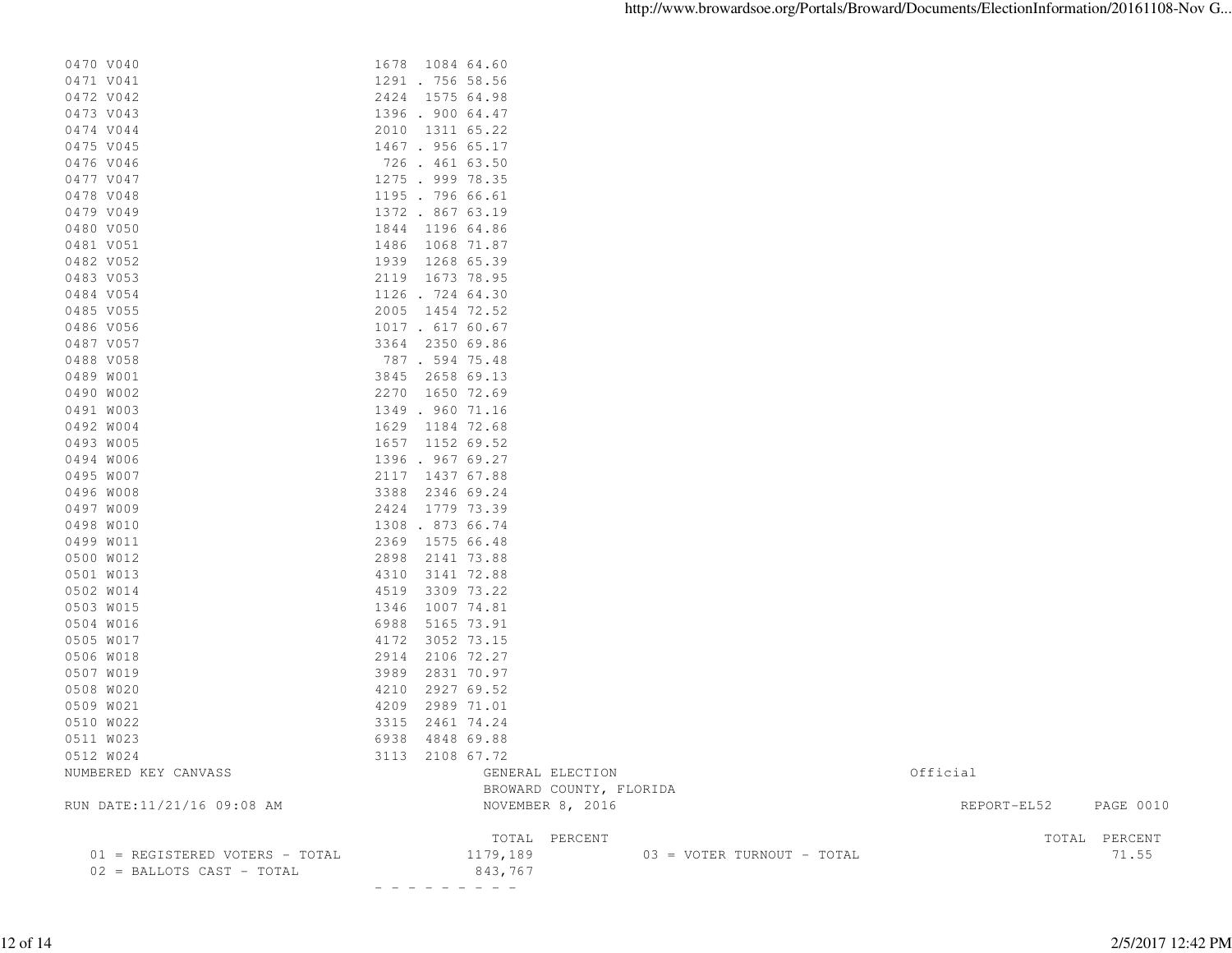| 0470 V040                      | 1678 1084 64.60         |                            |             |               |
|--------------------------------|-------------------------|----------------------------|-------------|---------------|
| 0471 V041                      | 1291 . 756 58.56        |                            |             |               |
| 0472 V042                      | 2424 1575 64.98         |                            |             |               |
| 0473 V043                      | 1396 . 900 64.47        |                            |             |               |
| 0474 V044                      | 2010 1311 65.22         |                            |             |               |
| 0475 V045                      | 1467. 956 65.17         |                            |             |               |
| 0476 V046                      | 726 . 461 63.50         |                            |             |               |
| 0477 V047                      | 1275 . 999 78.35        |                            |             |               |
| 0478 V048                      | 1195 . 796 66.61        |                            |             |               |
| 0479 V049                      | 1372 . 867 63.19        |                            |             |               |
| 0480 V050                      | 1844 1196 64.86         |                            |             |               |
| 0481 V051                      | 1486 1068 71.87         |                            |             |               |
| 0482 V052                      | 1939 1268 65.39         |                            |             |               |
| 0483 V053                      | 2119 1673 78.95         |                            |             |               |
| 0484 V054                      | 1126 . 724 64.30        |                            |             |               |
| 0485 V055                      | 2005 1454 72.52         |                            |             |               |
| 0486 V056                      | 1017 . 617 60.67        |                            |             |               |
| 0487 V057                      | 3364 2350 69.86         |                            |             |               |
| 0488 V058                      | 787 . 594 75.48         |                            |             |               |
| 0489 W001                      | 3845 2658 69.13         |                            |             |               |
| 0490 W002                      | 2270 1650 72.69         |                            |             |               |
| 0491 W003                      | 1349 . 960 71.16        |                            |             |               |
| 0492 W004                      | 1629 1184 72.68         |                            |             |               |
| 0493 W005                      | 1657 1152 69.52         |                            |             |               |
| 0494 W006                      | 1396.96769.27           |                            |             |               |
| 0495 W007                      | 2117 1437 67.88         |                            |             |               |
| 0496 W008                      | 3388 2346 69.24         |                            |             |               |
| 0497 W009                      | 2424 1779 73.39         |                            |             |               |
| 0498 W010                      | 1308 . 873 66.74        |                            |             |               |
| 0499 W011                      | 2369 1575 66.48         |                            |             |               |
| 0500 W012                      | 2898 2141 73.88         |                            |             |               |
| 0501 W013                      | 4310<br>3141 72.88      |                            |             |               |
| 0502 W014                      | 4519<br>3309 73.22      |                            |             |               |
| 0503 W015                      | 1007 74.81<br>1346      |                            |             |               |
| 0504 W016                      | 6988<br>5165 73.91      |                            |             |               |
| 0505 W017                      | 4172<br>3052 73.15      |                            |             |               |
| 0506 W018                      | 2914<br>2106 72.27      |                            |             |               |
| 0507 W019                      | 3989<br>2831 70.97      |                            |             |               |
| 0508 W020                      | 4210<br>2927 69.52      |                            |             |               |
| 0509 W021                      | 4209<br>2989 71.01      |                            |             |               |
| 0510 W022                      | 3315<br>2461 74.24      |                            |             |               |
| 0511 W023                      | 6938 4848 69.88         |                            |             |               |
| 0512 W024                      | 3113 2108 67.72         |                            |             |               |
| NUMBERED KEY CANVASS           | GENERAL ELECTION        |                            | Official    |               |
|                                | BROWARD COUNTY, FLORIDA |                            |             |               |
| RUN DATE:11/21/16 09:08 AM     | NOVEMBER 8, 2016        |                            | REPORT-EL52 | PAGE 0010     |
|                                | TOTAL PERCENT           |                            |             | TOTAL PERCENT |
| 01 = REGISTERED VOTERS - TOTAL | 1179,189                | 03 = VOTER TURNOUT - TOTAL |             | 71.55         |
| 02 = BALLOTS CAST - TOTAL      | 843,767                 |                            |             |               |

- - - - - - - - -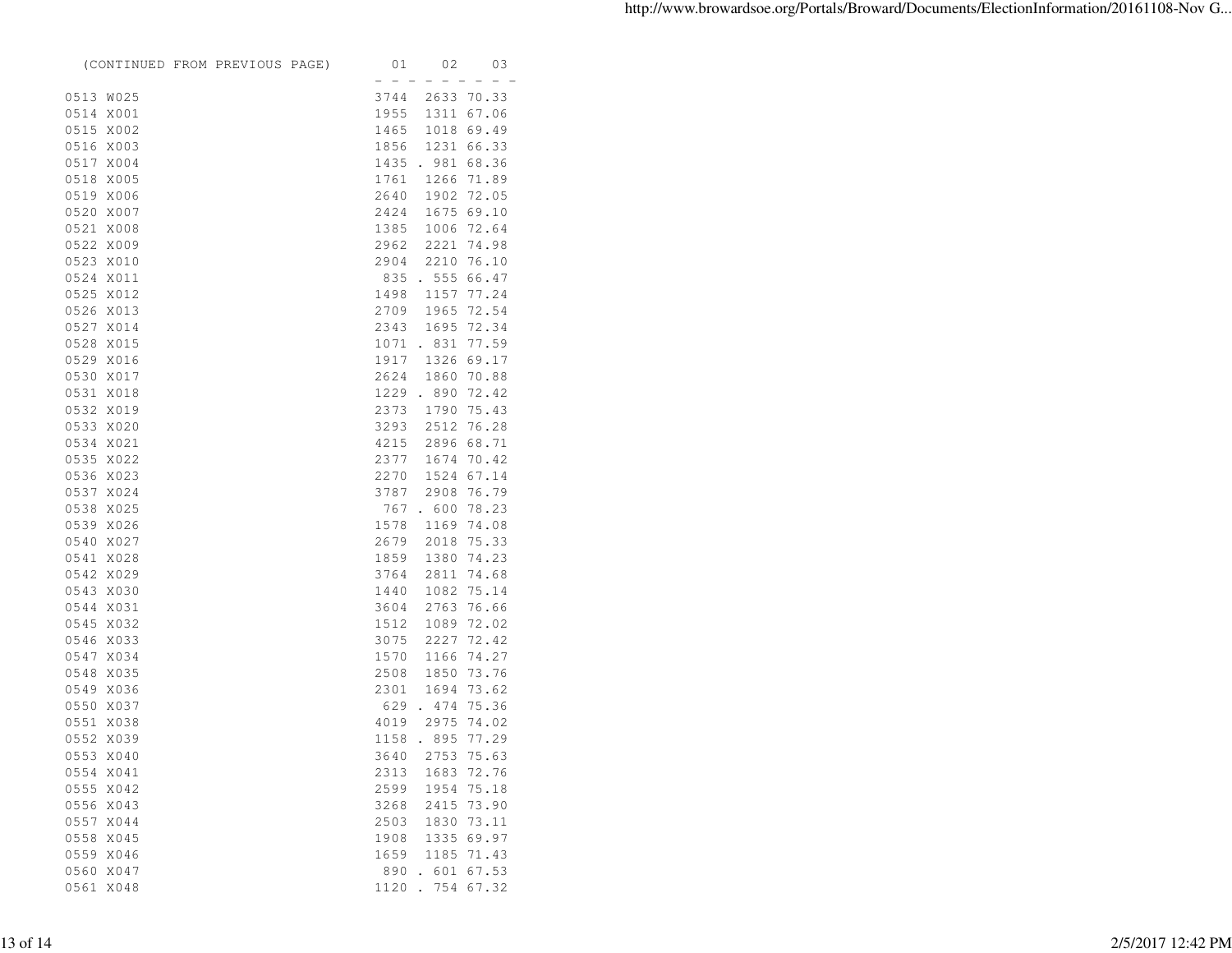|           |                        | (CONTINUED FROM PREVIOUS PAGE) | 01                                | 02                       | 03             |
|-----------|------------------------|--------------------------------|-----------------------------------|--------------------------|----------------|
|           |                        |                                | $\hspace{0.1cm}$ $\hspace{0.1cm}$ | $\overline{\phantom{0}}$ |                |
|           | 0513 W025              |                                | 3744                              |                          | 2633 70.33     |
|           | 0514 X001              |                                | 1955                              | 1311                     | 67.06          |
|           | 0515 X002              |                                | 1465                              |                          | 1018 69.49     |
|           | 0516 X003              |                                | 1856                              |                          | 1231 66.33     |
|           | 0517 X004              |                                | 1435                              | . 981                    | 68.36          |
|           | 0518 X005              |                                | 1761                              | 1266                     | 71.89          |
|           | 0519 X006              |                                | 2640                              |                          | 1902 72.05     |
|           | 0520 X007              |                                | 2424                              |                          | 1675 69.10     |
|           | 0521 X008              |                                | 1385                              | 1006                     | 72.64          |
|           | 0522 X009              |                                | 2962                              | 2221                     | 74.98          |
|           | 0523 X010              |                                | 2904                              | 2210                     | 76.10          |
|           | 0524 X011              |                                | 835                               |                          | .55566.47      |
|           | 0525 X012              |                                | 1498                              |                          | 1157 77.24     |
|           | 0526 X013              |                                | 2709                              | 1965                     | 72.54          |
|           | 0527 X014              |                                | 2343                              | 1695                     | 72.34          |
|           | 0528 X015              |                                | 1071                              | . 831                    | 77.59          |
|           | 0529 X016              |                                | 1917                              | 1326                     | 69.17          |
|           | 0530 X017              |                                | 2624                              | 1860                     | 70.88          |
|           | 0531 X018              |                                |                                   | 1229 . 890               | 72.42          |
|           | 0532 X019              |                                | 2373                              | 1790                     | 75.43          |
|           | 0533 X020              |                                | 3293                              | 2512                     | 76.28          |
|           | 0534 X021              |                                | 4215                              |                          | 2896 68.71     |
|           | 0535 X022              |                                | 2377                              | 1674                     | 70.42          |
|           | 0536 X023              |                                | 2270                              | 1524                     | 67.14          |
|           | 0537 X024              |                                | 3787                              | 2908                     | 76.79          |
|           | 0538 X025              |                                |                                   | 767.600                  | 78.23          |
|           | 0539 X026              |                                | 1578                              | 1169                     | 74.08          |
|           | 0540 X027              |                                | 2679                              | 2018                     | 75.33          |
|           | 0541 X028              |                                | 1859                              | 1380                     | 74.23          |
|           | 0542 X029              |                                | 3764                              | 2811                     | 74.68          |
| 0543 X030 |                        |                                | 1440                              | 1082                     | 75.14          |
|           | 0544 X031              |                                | 3604                              | 2763                     | 76.66          |
|           | 0545 X032              |                                | 1512                              | 1089                     | 72.02          |
|           | 0546 X033              |                                | 3075                              | 2227                     | 72.42          |
|           | 0547 X034              |                                | 1570                              | 1166                     | 74.27          |
|           |                        |                                |                                   | 1850                     |                |
| 0548      | X035                   |                                | 2508<br>2301                      |                          | 73.76<br>73.62 |
|           | 0549 X036<br>0550 X037 |                                |                                   | 1694                     |                |
|           |                        |                                | 629                               | .474                     | 75.36          |
|           | 0551 X038              |                                | 4019                              | 2975                     | 74.02          |
|           | 0552 X039              |                                | 1158                              | .895                     | 77.29          |
|           | 0553 X040              |                                |                                   | 3640 2753 75.63          |                |
| 0554      | X041                   |                                | 2313                              | 1683                     | 72.76          |
| 0555      | X042                   |                                | 2599                              | 1954                     | 75.18          |
| 0556      | X043                   |                                | 3268                              | 2415                     | 73.90          |
| 0557      | X044                   |                                | 2503                              | 1830                     | 73.11          |
| 0558      | X045                   |                                | 1908                              | 1335                     | 69.97          |
| 0559      | X046                   |                                | 1659                              | 1185                     | 71.43          |
| 0560      | X047                   |                                | 890                               | 601                      | 67.53          |
| 0561      | X048                   |                                | 1120                              | 754                      | 67.32          |